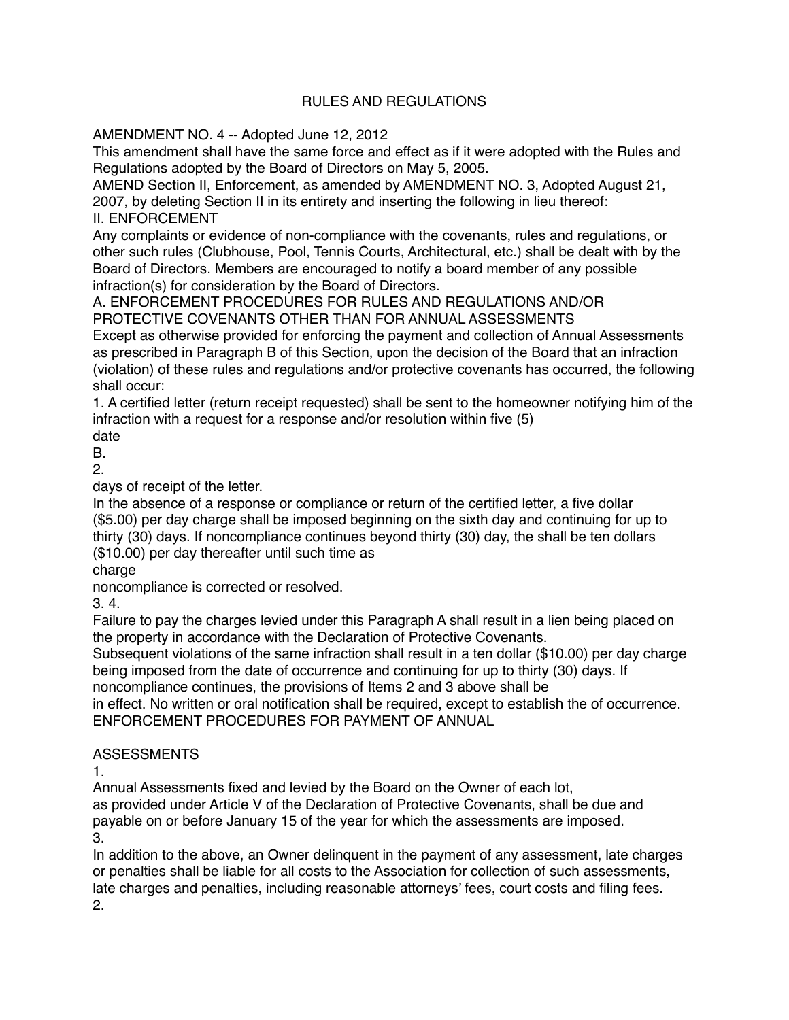## RULES AND REGULATIONS

AMENDMENT NO. 4 -- Adopted June 12, 2012

This amendment shall have the same force and effect as if it were adopted with the Rules and Regulations adopted by the Board of Directors on May 5, 2005.

AMEND Section II, Enforcement, as amended by AMENDMENT NO. 3, Adopted August 21, 2007, by deleting Section II in its entirety and inserting the following in lieu thereof:

II. ENFORCEMENT

Any complaints or evidence of non-compliance with the covenants, rules and regulations, or other such rules (Clubhouse, Pool, Tennis Courts, Architectural, etc.) shall be dealt with by the Board of Directors. Members are encouraged to notify a board member of any possible infraction(s) for consideration by the Board of Directors.

A. ENFORCEMENT PROCEDURES FOR RULES AND REGULATIONS AND/OR PROTECTIVE COVENANTS OTHER THAN FOR ANNUAL ASSESSMENTS

Except as otherwise provided for enforcing the payment and collection of Annual Assessments as prescribed in Paragraph B of this Section, upon the decision of the Board that an infraction (violation) of these rules and regulations and/or protective covenants has occurred, the following shall occur:

1. A certified letter (return receipt requested) shall be sent to the homeowner notifying him of the infraction with a request for a response and/or resolution within five (5)

date

B. 2.

days of receipt of the letter.

In the absence of a response or compliance or return of the certified letter, a five dollar (\$5.00) per day charge shall be imposed beginning on the sixth day and continuing for up to thirty (30) days. If noncompliance continues beyond thirty (30) day, the shall be ten dollars (\$10.00) per day thereafter until such time as

charge

noncompliance is corrected or resolved.

3. 4.

Failure to pay the charges levied under this Paragraph A shall result in a lien being placed on the property in accordance with the Declaration of Protective Covenants.

Subsequent violations of the same infraction shall result in a ten dollar (\$10.00) per day charge being imposed from the date of occurrence and continuing for up to thirty (30) days. If

noncompliance continues, the provisions of Items 2 and 3 above shall be

in effect. No written or oral notification shall be required, except to establish the of occurrence. ENFORCEMENT PROCEDURES FOR PAYMENT OF ANNUAL

## ASSESSMENTS

1.

Annual Assessments fixed and levied by the Board on the Owner of each lot,

as provided under Article V of the Declaration of Protective Covenants, shall be due and payable on or before January 15 of the year for which the assessments are imposed. 3.

In addition to the above, an Owner delinquent in the payment of any assessment, late charges or penalties shall be liable for all costs to the Association for collection of such assessments, late charges and penalties, including reasonable attorneys' fees, court costs and filing fees. 2.